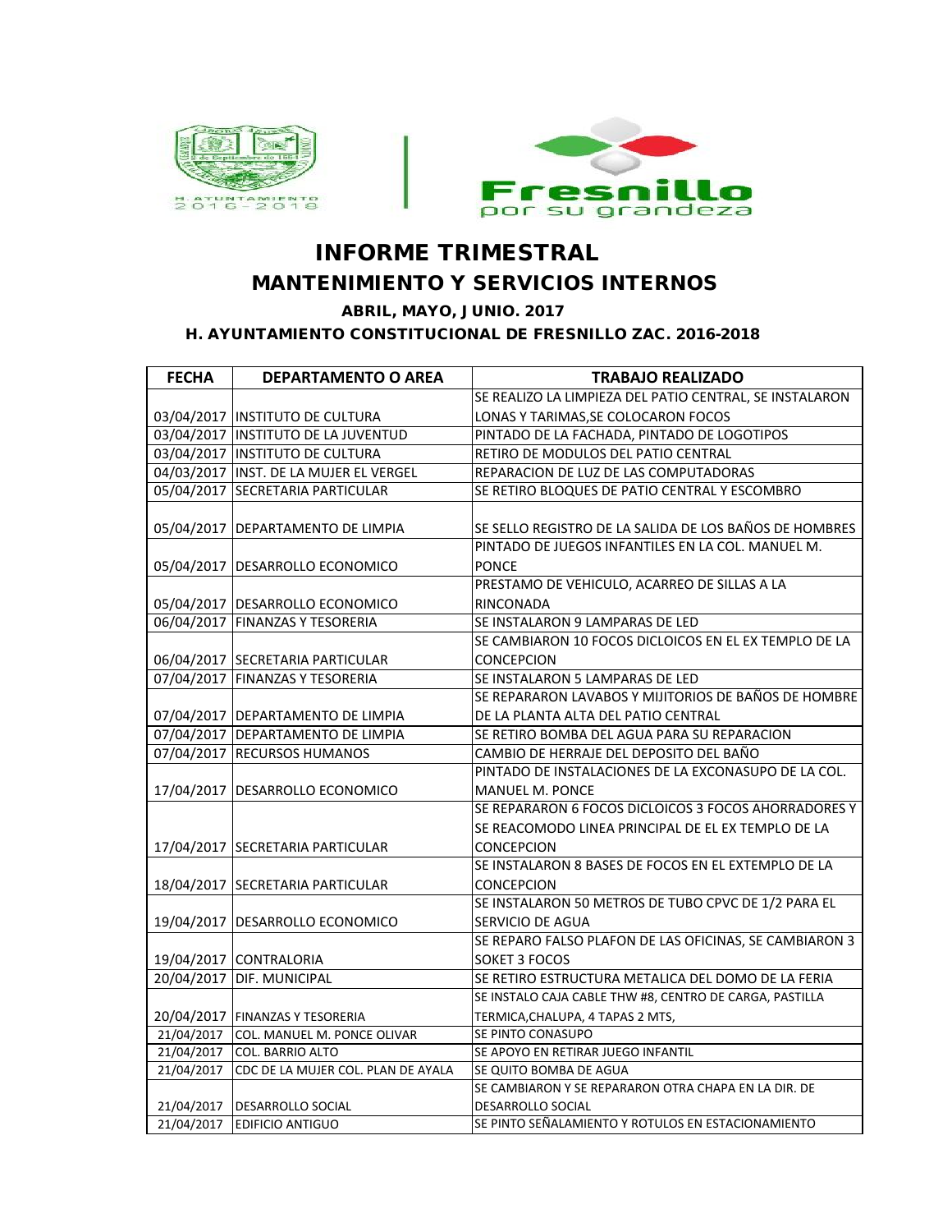

## **INFORME TRIMESTRAL MANTENIMIENTO Y SERVICIOS INTERNOS**

 **ABRIL, MAYO, JUNIO. 2017**

 **H. AYUNTAMIENTO CONSTITUCIONAL DE FRESNILLO ZAC. 2016-2018**

| <b>FECHA</b> | <b>DEPARTAMENTO O AREA</b>             | <b>TRABAJO REALIZADO</b>                                |
|--------------|----------------------------------------|---------------------------------------------------------|
|              |                                        | SE REALIZO LA LIMPIEZA DEL PATIO CENTRAL, SE INSTALARON |
|              | 03/04/2017  INSTITUTO DE CULTURA       | LONAS Y TARIMAS, SE COLOCARON FOCOS                     |
|              | 03/04/2017 INSTITUTO DE LA JUVENTUD    | PINTADO DE LA FACHADA, PINTADO DE LOGOTIPOS             |
|              | 03/04/2017 INSTITUTO DE CULTURA        | RETIRO DE MODULOS DEL PATIO CENTRAL                     |
|              | 04/03/2017 INST. DE LA MUJER EL VERGEL | REPARACION DE LUZ DE LAS COMPUTADORAS                   |
|              | 05/04/2017 SECRETARIA PARTICULAR       | SE RETIRO BLOQUES DE PATIO CENTRAL Y ESCOMBRO           |
|              |                                        |                                                         |
|              | 05/04/2017   DEPARTAMENTO DE LIMPIA    | SE SELLO REGISTRO DE LA SALIDA DE LOS BAÑOS DE HOMBRES  |
|              |                                        | PINTADO DE JUEGOS INFANTILES EN LA COL. MANUEL M.       |
|              | 05/04/2017   DESARROLLO ECONOMICO      | <b>PONCE</b>                                            |
|              |                                        | PRESTAMO DE VEHICULO, ACARREO DE SILLAS A LA            |
|              | 05/04/2017   DESARROLLO ECONOMICO      | RINCONADA                                               |
|              | 06/04/2017 FINANZAS Y TESORERIA        | SE INSTALARON 9 LAMPARAS DE LED                         |
|              |                                        | SE CAMBIARON 10 FOCOS DICLOICOS EN EL EX TEMPLO DE LA   |
|              | 06/04/2017 SECRETARIA PARTICULAR       | <b>CONCEPCION</b>                                       |
|              | 07/04/2017 FINANZAS Y TESORERIA        | SE INSTALARON 5 LAMPARAS DE LED                         |
|              |                                        | SE REPARARON LAVABOS Y MIJITORIOS DE BAÑOS DE HOMBRE    |
|              | 07/04/2017   DEPARTAMENTO DE LIMPIA    | DE LA PLANTA ALTA DEL PATIO CENTRAL                     |
|              | 07/04/2017 DEPARTAMENTO DE LIMPIA      | SE RETIRO BOMBA DEL AGUA PARA SU REPARACION             |
|              | 07/04/2017 RECURSOS HUMANOS            | CAMBIO DE HERRAJE DEL DEPOSITO DEL BAÑO                 |
|              |                                        | PINTADO DE INSTALACIONES DE LA EXCONASUPO DE LA COL.    |
|              | 17/04/2017   DESARROLLO ECONOMICO      | <b>MANUEL M. PONCE</b>                                  |
|              |                                        | SE REPARARON 6 FOCOS DICLOICOS 3 FOCOS AHORRADORES Y    |
|              |                                        | SE REACOMODO LINEA PRINCIPAL DE EL EX TEMPLO DE LA      |
|              | 17/04/2017 SECRETARIA PARTICULAR       | <b>CONCEPCION</b>                                       |
|              |                                        | SE INSTALARON 8 BASES DE FOCOS EN EL EXTEMPLO DE LA     |
|              | 18/04/2017 SECRETARIA PARTICULAR       | CONCEPCION                                              |
|              |                                        | SE INSTALARON 50 METROS DE TUBO CPVC DE 1/2 PARA EL     |
|              | 19/04/2017   DESARROLLO ECONOMICO      | SERVICIO DE AGUA                                        |
|              |                                        | SE REPARO FALSO PLAFON DE LAS OFICINAS, SE CAMBIARON 3  |
|              | 19/04/2017 CONTRALORIA                 | SOKET 3 FOCOS                                           |
|              | 20/04/2017 DIF. MUNICIPAL              | SE RETIRO ESTRUCTURA METALICA DEL DOMO DE LA FERIA      |
|              |                                        | SE INSTALO CAJA CABLE THW #8, CENTRO DE CARGA, PASTILLA |
|              | 20/04/2017 FINANZAS Y TESORERIA        | TERMICA, CHALUPA, 4 TAPAS 2 MTS,                        |
|              | 21/04/2017 COL. MANUEL M. PONCE OLIVAR | SE PINTO CONASUPO                                       |
|              | 21/04/2017 COL. BARRIO ALTO            | SE APOYO EN RETIRAR JUEGO INFANTIL                      |
| 21/04/2017   | CDC DE LA MUJER COL. PLAN DE AYALA     | SE QUITO BOMBA DE AGUA                                  |
|              |                                        | SE CAMBIARON Y SE REPARARON OTRA CHAPA EN LA DIR. DE    |
|              | 21/04/2017   DESARROLLO SOCIAL         | DESARROLLO SOCIAL                                       |
|              | 21/04/2017 EDIFICIO ANTIGUO            | SE PINTO SEÑALAMIENTO Y ROTULOS EN ESTACIONAMIENTO      |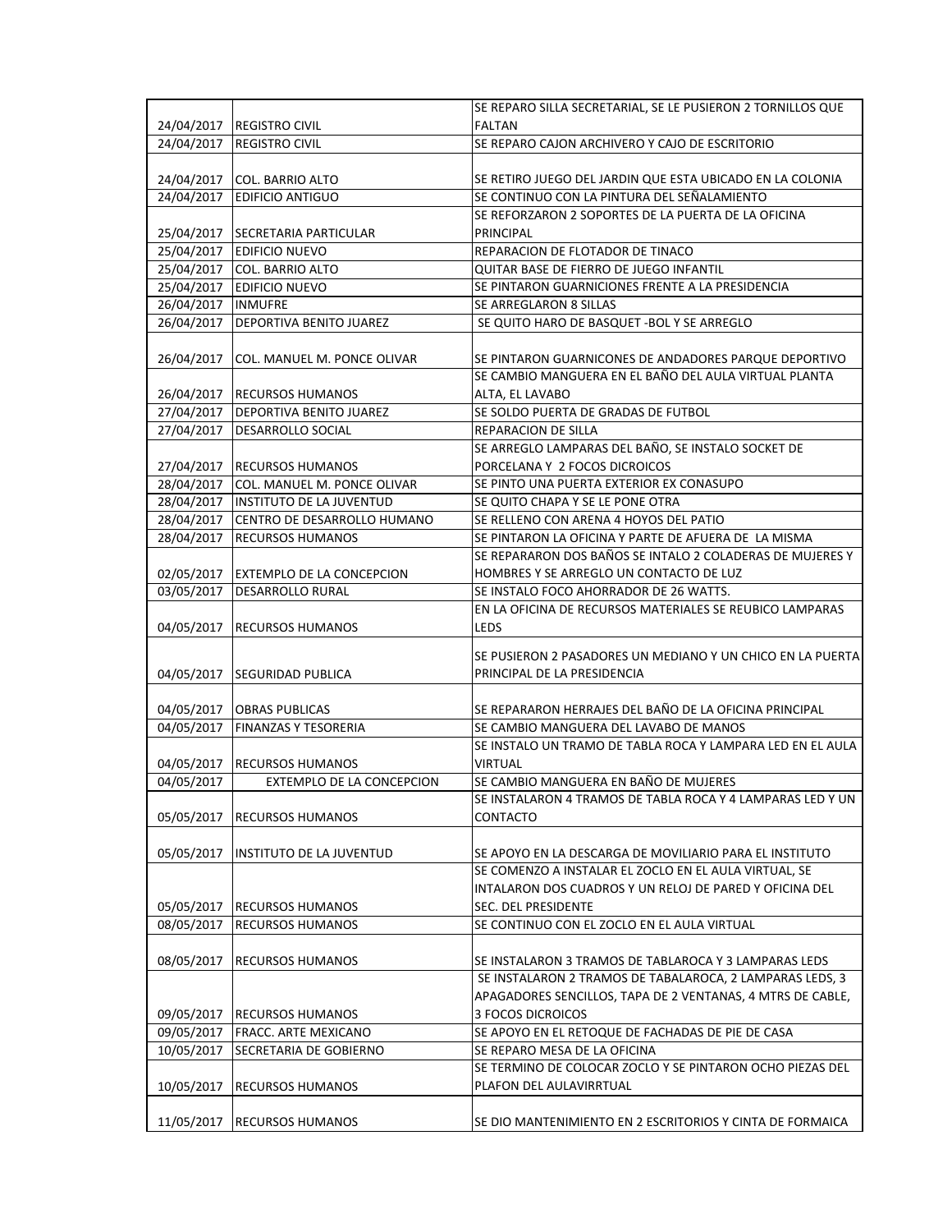|                      |                                        | SE REPARO SILLA SECRETARIAL, SE LE PUSIERON 2 TORNILLOS QUE |
|----------------------|----------------------------------------|-------------------------------------------------------------|
| 24/04/2017           | <b>IREGISTRO CIVIL</b>                 | <b>FALTAN</b>                                               |
| 24/04/2017           | <b>REGISTRO CIVIL</b>                  | SE REPARO CAJON ARCHIVERO Y CAJO DE ESCRITORIO              |
|                      |                                        |                                                             |
| 24/04/2017           | COL. BARRIO ALTO                       | SE RETIRO JUEGO DEL JARDIN QUE ESTA UBICADO EN LA COLONIA   |
| 24/04/2017           | <b>EDIFICIO ANTIGUO</b>                | SE CONTINUO CON LA PINTURA DEL SEÑALAMIENTO                 |
|                      |                                        | SE REFORZARON 2 SOPORTES DE LA PUERTA DE LA OFICINA         |
| 25/04/2017           | <b>SECRETARIA PARTICULAR</b>           | PRINCIPAL                                                   |
|                      | 25/04/2017 EDIFICIO NUEVO              | REPARACION DE FLOTADOR DE TINACO                            |
|                      | 25/04/2017 COL. BARRIO ALTO            | QUITAR BASE DE FIERRO DE JUEGO INFANTIL                     |
|                      | 25/04/2017 EDIFICIO NUEVO              | SE PINTARON GUARNICIONES FRENTE A LA PRESIDENCIA            |
| 26/04/2017   INMUFRE |                                        | SE ARREGLARON 8 SILLAS                                      |
| 26/04/2017           | <b>DEPORTIVA BENITO JUAREZ</b>         | SE QUITO HARO DE BASQUET - BOL Y SE ARREGLO                 |
|                      |                                        |                                                             |
| 26/04/2017           | COL. MANUEL M. PONCE OLIVAR            | SE PINTARON GUARNICONES DE ANDADORES PARQUE DEPORTIVO       |
|                      |                                        | SE CAMBIO MANGUERA EN EL BAÑO DEL AULA VIRTUAL PLANTA       |
| 26/04/2017           | <b>RECURSOS HUMANOS</b>                | ALTA, EL LAVABO                                             |
| 27/04/2017           | <b>DEPORTIVA BENITO JUAREZ</b>         | SE SOLDO PUERTA DE GRADAS DE FUTBOL                         |
| 27/04/2017           | <b>DESARROLLO SOCIAL</b>               | REPARACION DE SILLA                                         |
|                      |                                        | SE ARREGLO LAMPARAS DEL BAÑO, SE INSTALO SOCKET DE          |
|                      | 27/04/2017 RECURSOS HUMANOS            | PORCELANA Y 2 FOCOS DICROICOS                               |
|                      | 28/04/2017 COL. MANUEL M. PONCE OLIVAR | SE PINTO UNA PUERTA EXTERIOR EX CONASUPO                    |
| 28/04/2017           | <b>INSTITUTO DE LA JUVENTUD</b>        | SE QUITO CHAPA Y SE LE PONE OTRA                            |
| 28/04/2017           | CENTRO DE DESARROLLO HUMANO            | SE RELLENO CON ARENA 4 HOYOS DEL PATIO                      |
| 28/04/2017           | <b>RECURSOS HUMANOS</b>                | SE PINTARON LA OFICINA Y PARTE DE AFUERA DE LA MISMA        |
|                      |                                        | SE REPARARON DOS BAÑOS SE INTALO 2 COLADERAS DE MUJERES Y   |
| 02/05/2017           | <b>EXTEMPLO DE LA CONCEPCION</b>       | HOMBRES Y SE ARREGLO UN CONTACTO DE LUZ                     |
| 03/05/2017           | <b>DESARROLLO RURAL</b>                | SE INSTALO FOCO AHORRADOR DE 26 WATTS.                      |
|                      |                                        | EN LA OFICINA DE RECURSOS MATERIALES SE REUBICO LAMPARAS    |
| 04/05/2017           | <b>RECURSOS HUMANOS</b>                | LEDS                                                        |
|                      |                                        | SE PUSIERON 2 PASADORES UN MEDIANO Y UN CHICO EN LA PUERTA  |
| 04/05/2017           | <b>SEGURIDAD PUBLICA</b>               | PRINCIPAL DE LA PRESIDENCIA                                 |
|                      |                                        |                                                             |
| 04/05/2017           | <b>OBRAS PUBLICAS</b>                  | SE REPARARON HERRAJES DEL BAÑO DE LA OFICINA PRINCIPAL      |
| 04/05/2017           | <b>FINANZAS Y TESORERIA</b>            | SE CAMBIO MANGUERA DEL LAVABO DE MANOS                      |
|                      |                                        | SE INSTALO UN TRAMO DE TABLA ROCA Y LAMPARA LED EN EL AULA  |
| 04/05/2017           | <b>RECURSOS HUMANOS</b>                | VIRTUAL                                                     |
| 04/05/2017           | EXTEMPLO DE LA CONCEPCION              | SE CAMBIO MANGUERA EN BAÑO DE MUJERES                       |
|                      |                                        | SE INSTALARON 4 TRAMOS DE TABLA ROCA Y 4 LAMPARAS LED Y UN  |
| 05/05/2017           | <b>IRECURSOS HUMANOS</b>               | CONTACTO                                                    |
|                      |                                        |                                                             |
| 05/05/2017           | <b>INSTITUTO DE LA JUVENTUD</b>        | SE APOYO EN LA DESCARGA DE MOVILIARIO PARA EL INSTITUTO     |
|                      |                                        | SE COMENZO A INSTALAR EL ZOCLO EN EL AULA VIRTUAL, SE       |
|                      |                                        | INTALARON DOS CUADROS Y UN RELOJ DE PARED Y OFICINA DEL     |
| 05/05/2017           | <b>RECURSOS HUMANOS</b>                | SEC. DEL PRESIDENTE                                         |
| 08/05/2017           | <b>RECURSOS HUMANOS</b>                | SE CONTINUO CON EL ZOCLO EN EL AULA VIRTUAL                 |
|                      |                                        |                                                             |
| 08/05/2017           | <b>RECURSOS HUMANOS</b>                | SE INSTALARON 3 TRAMOS DE TABLAROCA Y 3 LAMPARAS LEDS       |
|                      |                                        | SE INSTALARON 2 TRAMOS DE TABALAROCA, 2 LAMPARAS LEDS, 3    |
|                      |                                        | APAGADORES SENCILLOS, TAPA DE 2 VENTANAS, 4 MTRS DE CABLE,  |
| 09/05/2017           | <b>RECURSOS HUMANOS</b>                | <b>3 FOCOS DICROICOS</b>                                    |
| 09/05/2017           | <b>FRACC. ARTE MEXICANO</b>            | SE APOYO EN EL RETOQUE DE FACHADAS DE PIE DE CASA           |
| 10/05/2017           | SECRETARIA DE GOBIERNO                 | SE REPARO MESA DE LA OFICINA                                |
|                      |                                        | SE TERMINO DE COLOCAR ZOCLO Y SE PINTARON OCHO PIEZAS DEL   |
| 10/05/2017           | <b>RECURSOS HUMANOS</b>                | PLAFON DEL AULAVIRRTUAL                                     |
|                      |                                        |                                                             |
| 11/05/2017           | <b>RECURSOS HUMANOS</b>                | SE DIO MANTENIMIENTO EN 2 ESCRITORIOS Y CINTA DE FORMAICA   |
|                      |                                        |                                                             |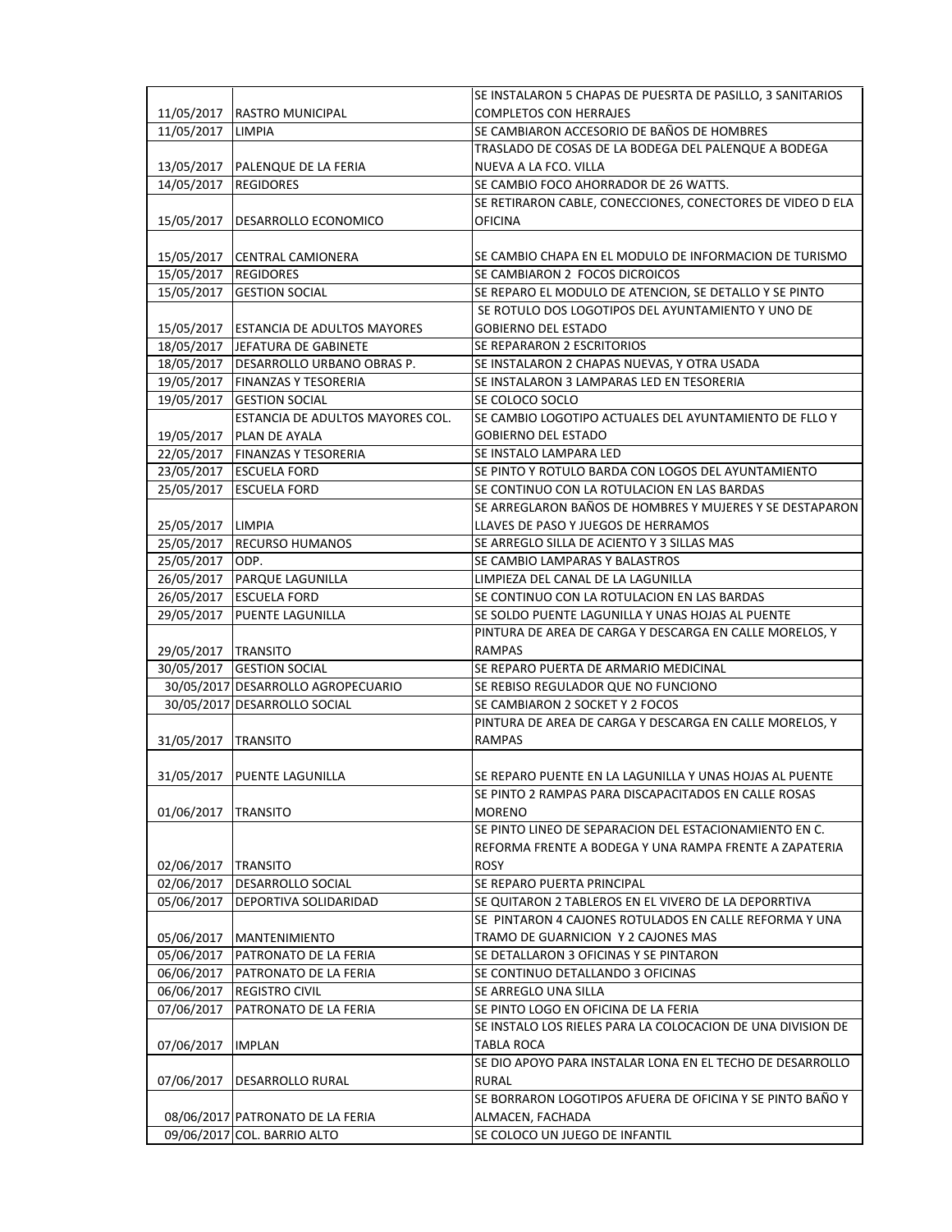|                       |                                         | SE INSTALARON 5 CHAPAS DE PUESRTA DE PASILLO, 3 SANITARIOS  |
|-----------------------|-----------------------------------------|-------------------------------------------------------------|
| 11/05/2017            | <b>RASTRO MUNICIPAL</b>                 | <b>COMPLETOS CON HERRAJES</b>                               |
| 11/05/2017            | <b>LIMPIA</b>                           | SE CAMBIARON ACCESORIO DE BAÑOS DE HOMBRES                  |
|                       |                                         | TRASLADO DE COSAS DE LA BODEGA DEL PALENQUE A BODEGA        |
| 13/05/2017            | PALENQUE DE LA FERIA                    | NUEVA A LA FCO. VILLA                                       |
| 14/05/2017            | <b>REGIDORES</b>                        | SE CAMBIO FOCO AHORRADOR DE 26 WATTS.                       |
|                       |                                         | SE RETIRARON CABLE, CONECCIONES, CONECTORES DE VIDEO D ELA  |
| 15/05/2017            | DESARROLLO ECONOMICO                    | OFICINA                                                     |
|                       |                                         |                                                             |
|                       | 15/05/2017 CENTRAL CAMIONERA            | SE CAMBIO CHAPA EN EL MODULO DE INFORMACION DE TURISMO      |
| 15/05/2017  REGIDORES |                                         | SE CAMBIARON 2 FOCOS DICROICOS                              |
|                       | 15/05/2017 GESTION SOCIAL               | SE REPARO EL MODULO DE ATENCION, SE DETALLO Y SE PINTO      |
|                       |                                         | SE ROTULO DOS LOGOTIPOS DEL AYUNTAMIENTO Y UNO DE           |
|                       | 15/05/2017 ESTANCIA DE ADULTOS MAYORES  | <b>GOBIERNO DEL ESTADO</b>                                  |
|                       | 18/05/2017 JEFATURA DE GABINETE         | SE REPARARON 2 ESCRITORIOS                                  |
|                       | 18/05/2017   DESARROLLO URBANO OBRAS P. | SE INSTALARON 2 CHAPAS NUEVAS, Y OTRA USADA                 |
|                       | 19/05/2017   FINANZAS Y TESORERIA       | SE INSTALARON 3 LAMPARAS LED EN TESORERIA                   |
| 19/05/2017            | <b>GESTION SOCIAL</b>                   | SE COLOCO SOCLO                                             |
|                       | ESTANCIA DE ADULTOS MAYORES COL.        | SE CAMBIO LOGOTIPO ACTUALES DEL AYUNTAMIENTO DE FLLO Y      |
| 19/05/2017            | PLAN DE AYALA                           | <b>GOBIERNO DEL ESTADO</b>                                  |
| 22/05/2017            | <b>FINANZAS Y TESORERIA</b>             | SE INSTALO LAMPARA LED                                      |
| 23/05/2017            | <b>ESCUELA FORD</b>                     | SE PINTO Y ROTULO BARDA CON LOGOS DEL AYUNTAMIENTO          |
|                       | 25/05/2017 ESCUELA FORD                 | SE CONTINUO CON LA ROTULACION EN LAS BARDAS                 |
|                       |                                         | SE ARREGLARON BAÑOS DE HOMBRES Y MUJERES Y SE DESTAPARON    |
| 25/05/2017 LIMPIA     |                                         | LLAVES DE PASO Y JUEGOS DE HERRAMOS                         |
|                       | 25/05/2017 RECURSO HUMANOS              | SE ARREGLO SILLA DE ACIENTO Y 3 SILLAS MAS                  |
| 25/05/2017 ODP.       |                                         | SE CAMBIO LAMPARAS Y BALASTROS                              |
|                       | 26/05/2017   PARQUE LAGUNILLA           | LIMPIEZA DEL CANAL DE LA LAGUNILLA                          |
|                       | 26/05/2017 ESCUELA FORD                 | SE CONTINUO CON LA ROTULACION EN LAS BARDAS                 |
|                       | 29/05/2017   PUENTE LAGUNILLA           | SE SOLDO PUENTE LAGUNILLA Y UNAS HOJAS AL PUENTE            |
|                       |                                         | PINTURA DE AREA DE CARGA Y DESCARGA EN CALLE MORELOS, Y     |
|                       |                                         | <b>RAMPAS</b>                                               |
| 29/05/2017   TRANSITO | 30/05/2017 GESTION SOCIAL               | SE REPARO PUERTA DE ARMARIO MEDICINAL                       |
|                       | 30/05/2017 DESARROLLO AGROPECUARIO      | SE REBISO REGULADOR QUE NO FUNCIONO                         |
|                       | 30/05/2017 DESARROLLO SOCIAL            | SE CAMBIARON 2 SOCKET Y 2 FOCOS                             |
|                       |                                         |                                                             |
|                       |                                         | PINTURA DE AREA DE CARGA Y DESCARGA EN CALLE MORELOS, Y     |
| 31/05/2017            | <b>TRANSITO</b>                         | RAMPAS                                                      |
|                       |                                         |                                                             |
|                       | 31/05/2017   PUENTE LAGUNILLA           | SE REPARO PUENTE EN LA LAGUNILLA Y UNAS HOJAS AL PUENTE     |
|                       |                                         | SE PINTO 2 RAMPAS PARA DISCAPACITADOS EN CALLE ROSAS        |
| 01/06/2017            | <b>TRANSITO</b>                         | <b>MORENO</b>                                               |
|                       |                                         | SE PINTO LINEO DE SEPARACION DEL ESTACIONAMIENTO EN C.      |
|                       |                                         | REFORMA FRENTE A BODEGA Y UNA RAMPA FRENTE A ZAPATERIA      |
| 02/06/2017            | <b>TRANSITO</b>                         | <b>ROSY</b>                                                 |
| 02/06/2017            | <b>DESARROLLO SOCIAL</b>                | SE REPARO PUERTA PRINCIPAL                                  |
| 05/06/2017            | DEPORTIVA SOLIDARIDAD                   | SE QUITARON 2 TABLEROS EN EL VIVERO DE LA DEPORRTIVA        |
|                       |                                         | SE PINTARON 4 CAJONES ROTULADOS EN CALLE REFORMA Y UNA      |
| 05/06/2017            | <b>MANTENIMIENTO</b>                    | TRAMO DE GUARNICION Y 2 CAJONES MAS                         |
|                       | 05/06/2017   PATRONATO DE LA FERIA      | SE DETALLARON 3 OFICINAS Y SE PINTARON                      |
| 06/06/2017            | <b>PATRONATO DE LA FERIA</b>            | SE CONTINUO DETALLANDO 3 OFICINAS                           |
| 06/06/2017            | <b>REGISTRO CIVIL</b>                   | SE ARREGLO UNA SILLA                                        |
| 07/06/2017            | PATRONATO DE LA FERIA                   | SE PINTO LOGO EN OFICINA DE LA FERIA                        |
|                       |                                         | SE INSTALO LOS RIELES PARA LA COLOCACION DE UNA DIVISION DE |
| 07/06/2017            | <b>IMPLAN</b>                           | TABLA ROCA                                                  |
|                       |                                         | SE DIO APOYO PARA INSTALAR LONA EN EL TECHO DE DESARROLLO   |
| 07/06/2017            | DESARROLLO RURAL                        | <b>RURAL</b>                                                |
|                       |                                         | SE BORRARON LOGOTIPOS AFUERA DE OFICINA Y SE PINTO BAÑO Y   |
|                       | 08/06/2017 PATRONATO DE LA FERIA        | ALMACEN, FACHADA                                            |
|                       | 09/06/2017 COL. BARRIO ALTO             | SE COLOCO UN JUEGO DE INFANTIL                              |
|                       |                                         |                                                             |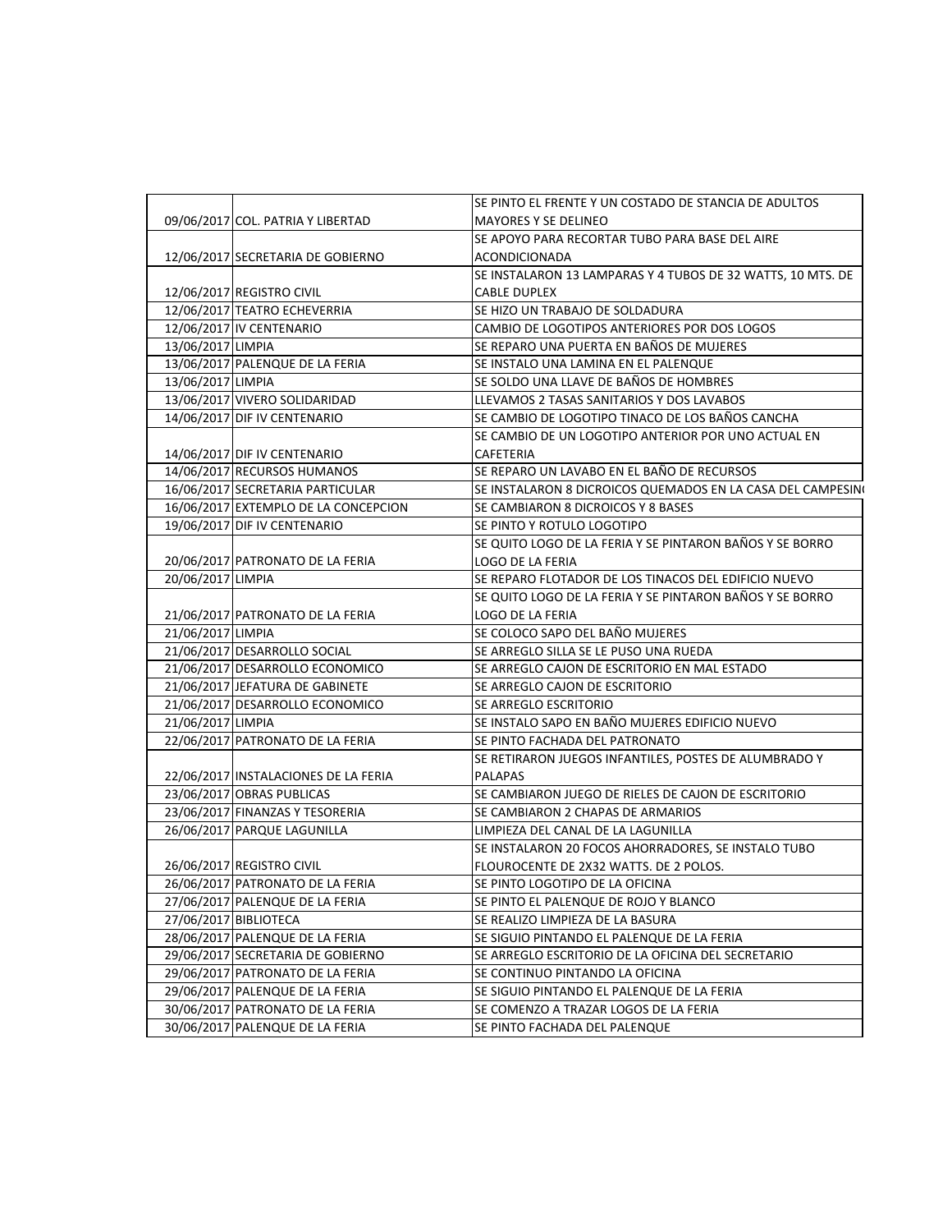|                   |                                      | SE PINTO EL FRENTE Y UN COSTADO DE STANCIA DE ADULTOS       |
|-------------------|--------------------------------------|-------------------------------------------------------------|
|                   | 09/06/2017 COL. PATRIA Y LIBERTAD    | MAYORES Y SE DELINEO                                        |
|                   |                                      | SE APOYO PARA RECORTAR TUBO PARA BASE DEL AIRE              |
|                   | 12/06/2017 SECRETARIA DE GOBIERNO    | <b>ACONDICIONADA</b>                                        |
|                   |                                      | SE INSTALARON 13 LAMPARAS Y 4 TUBOS DE 32 WATTS, 10 MTS. DE |
|                   | 12/06/2017 REGISTRO CIVIL            | CABLE DUPLEX                                                |
|                   | 12/06/2017 TEATRO ECHEVERRIA         | SE HIZO UN TRABAJO DE SOLDADURA                             |
|                   | 12/06/2017 IV CENTENARIO             | CAMBIO DE LOGOTIPOS ANTERIORES POR DOS LOGOS                |
| 13/06/2017 LIMPIA |                                      | SE REPARO UNA PUERTA EN BAÑOS DE MUJERES                    |
|                   | 13/06/2017 PALENQUE DE LA FERIA      | SE INSTALO UNA LAMINA EN EL PALENQUE                        |
| 13/06/2017 LIMPIA |                                      | SE SOLDO UNA LLAVE DE BAÑOS DE HOMBRES                      |
|                   | 13/06/2017 VIVERO SOLIDARIDAD        | LLEVAMOS 2 TASAS SANITARIOS Y DOS LAVABOS                   |
|                   | 14/06/2017 DIF IV CENTENARIO         | SE CAMBIO DE LOGOTIPO TINACO DE LOS BAÑOS CANCHA            |
|                   |                                      | SE CAMBIO DE UN LOGOTIPO ANTERIOR POR UNO ACTUAL EN         |
|                   | 14/06/2017 DIF IV CENTENARIO         | CAFETERIA                                                   |
|                   | 14/06/2017 RECURSOS HUMANOS          | SE REPARO UN LAVABO EN EL BAÑO DE RECURSOS                  |
|                   | 16/06/2017 SECRETARIA PARTICULAR     | SE INSTALARON 8 DICROICOS QUEMADOS EN LA CASA DEL CAMPESINO |
|                   | 16/06/2017 EXTEMPLO DE LA CONCEPCION | SE CAMBIARON 8 DICROICOS Y 8 BASES                          |
|                   | 19/06/2017 DIF IV CENTENARIO         | SE PINTO Y ROTULO LOGOTIPO                                  |
|                   |                                      | SE QUITO LOGO DE LA FERIA Y SE PINTARON BAÑOS Y SE BORRO    |
|                   | 20/06/2017 PATRONATO DE LA FERIA     | LOGO DE LA FERIA                                            |
| 20/06/2017 LIMPIA |                                      | SE REPARO FLOTADOR DE LOS TINACOS DEL EDIFICIO NUEVO        |
|                   |                                      | SE QUITO LOGO DE LA FERIA Y SE PINTARON BAÑOS Y SE BORRO    |
|                   | 21/06/2017 PATRONATO DE LA FERIA     | LOGO DE LA FERIA                                            |
| 21/06/2017 LIMPIA |                                      | SE COLOCO SAPO DEL BAÑO MUJERES                             |
|                   | 21/06/2017 DESARROLLO SOCIAL         | SE ARREGLO SILLA SE LE PUSO UNA RUEDA                       |
|                   | 21/06/2017 DESARROLLO ECONOMICO      | SE ARREGLO CAJON DE ESCRITORIO EN MAL ESTADO                |
|                   | 21/06/2017 JEFATURA DE GABINETE      | SE ARREGLO CAJON DE ESCRITORIO                              |
|                   | 21/06/2017 DESARROLLO ECONOMICO      | SE ARREGLO ESCRITORIO                                       |
| 21/06/2017 LIMPIA |                                      | SE INSTALO SAPO EN BAÑO MUJERES EDIFICIO NUEVO              |
|                   | 22/06/2017 PATRONATO DE LA FERIA     | SE PINTO FACHADA DEL PATRONATO                              |
|                   |                                      | SE RETIRARON JUEGOS INFANTILES, POSTES DE ALUMBRADO Y       |
|                   | 22/06/2017 INSTALACIONES DE LA FERIA | <b>PALAPAS</b>                                              |
|                   | 23/06/2017 OBRAS PUBLICAS            | SE CAMBIARON JUEGO DE RIELES DE CAJON DE ESCRITORIO         |
|                   | 23/06/2017 FINANZAS Y TESORERIA      | SE CAMBIARON 2 CHAPAS DE ARMARIOS                           |
|                   | 26/06/2017 PARQUE LAGUNILLA          | LIMPIEZA DEL CANAL DE LA LAGUNILLA                          |
|                   |                                      | SE INSTALARON 20 FOCOS AHORRADORES, SE INSTALO TUBO         |
|                   | 26/06/2017 REGISTRO CIVIL            | FLOUROCENTE DE 2X32 WATTS. DE 2 POLOS.                      |
|                   | 26/06/2017 PATRONATO DE LA FERIA     | SE PINTO LOGOTIPO DE LA OFICINA                             |
|                   | 27/06/2017 PALENQUE DE LA FERIA      | SE PINTO EL PALENQUE DE ROJO Y BLANCO                       |
|                   | 27/06/2017 BIBLIOTECA                | SE REALIZO LIMPIEZA DE LA BASURA                            |
|                   | 28/06/2017 PALENQUE DE LA FERIA      | SE SIGUIO PINTANDO EL PALENQUE DE LA FERIA                  |
|                   | 29/06/2017 SECRETARIA DE GOBIERNO    | SE ARREGLO ESCRITORIO DE LA OFICINA DEL SECRETARIO          |
|                   | 29/06/2017 PATRONATO DE LA FERIA     | SE CONTINUO PINTANDO LA OFICINA                             |
|                   | 29/06/2017 PALENQUE DE LA FERIA      | SE SIGUIO PINTANDO EL PALENQUE DE LA FERIA                  |
|                   | 30/06/2017 PATRONATO DE LA FERIA     | SE COMENZO A TRAZAR LOGOS DE LA FERIA                       |
|                   | 30/06/2017 PALENQUE DE LA FERIA      | SE PINTO FACHADA DEL PALENQUE                               |
|                   |                                      |                                                             |